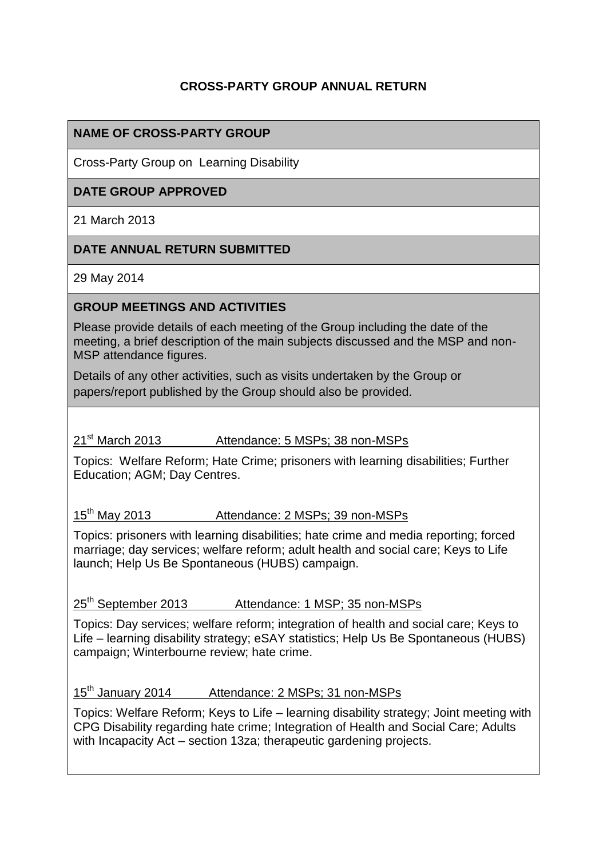# **CROSS-PARTY GROUP ANNUAL RETURN**

# **NAME OF CROSS-PARTY GROUP**

Cross-Party Group on Learning Disability

# **DATE GROUP APPROVED**

21 March 2013

#### **DATE ANNUAL RETURN SUBMITTED**

29 May 2014

#### **GROUP MEETINGS AND ACTIVITIES**

Please provide details of each meeting of the Group including the date of the meeting, a brief description of the main subjects discussed and the MSP and non-MSP attendance figures.

Details of any other activities, such as visits undertaken by the Group or papers/report published by the Group should also be provided.

# 21<sup>st</sup> March 2013 Attendance: 5 MSPs; 38 non-MSPs

Topics: Welfare Reform; Hate Crime; prisoners with learning disabilities; Further Education; AGM; Day Centres.

15th May 2013 Attendance: 2 MSPs; 39 non-MSPs

Topics: prisoners with learning disabilities; hate crime and media reporting; forced marriage; day services; welfare reform; adult health and social care; Keys to Life launch; Help Us Be Spontaneous (HUBS) campaign.

25th September 2013 Attendance: 1 MSP; 35 non-MSPs

Topics: Day services; welfare reform; integration of health and social care; Keys to Life – learning disability strategy; eSAY statistics; Help Us Be Spontaneous (HUBS) campaign; Winterbourne review; hate crime.

15th January 2014 Attendance: 2 MSPs; 31 non-MSPs

Topics: Welfare Reform; Keys to Life – learning disability strategy; Joint meeting with CPG Disability regarding hate crime; Integration of Health and Social Care; Adults with Incapacity Act – section 13za; therapeutic gardening projects.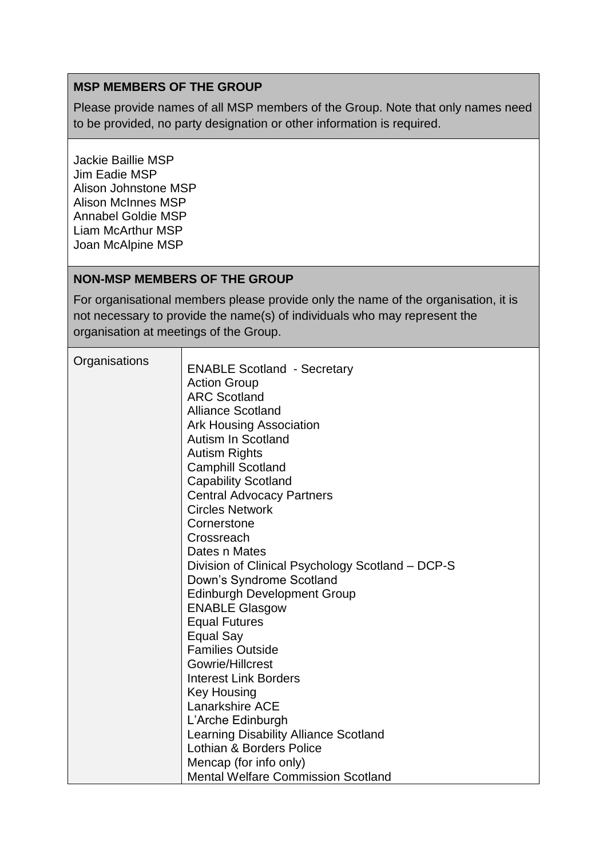# **MSP MEMBERS OF THE GROUP**

Please provide names of all MSP members of the Group. Note that only names need to be provided, no party designation or other information is required.

Jackie Baillie MSP Jim Eadie MSP Alison Johnstone MSP Alison McInnes MSP Annabel Goldie MSP Liam McArthur MSP Joan McAlpine MSP

#### **NON-MSP MEMBERS OF THE GROUP**

For organisational members please provide only the name of the organisation, it is not necessary to provide the name(s) of individuals who may represent the organisation at meetings of the Group.

| Organisations | <b>ENABLE Scotland - Secretary</b><br><b>Action Group</b><br><b>ARC Scotland</b><br><b>Alliance Scotland</b><br><b>Ark Housing Association</b><br><b>Autism In Scotland</b><br><b>Autism Rights</b><br><b>Camphill Scotland</b><br><b>Capability Scotland</b><br><b>Central Advocacy Partners</b><br><b>Circles Network</b><br>Cornerstone<br>Crossreach<br>Dates n Mates<br>Division of Clinical Psychology Scotland – DCP-S<br>Down's Syndrome Scotland<br><b>Edinburgh Development Group</b><br><b>ENABLE Glasgow</b><br><b>Equal Futures</b><br>Equal Say<br><b>Families Outside</b><br>Gowrie/Hillcrest<br><b>Interest Link Borders</b><br><b>Key Housing</b><br><b>Lanarkshire ACE</b><br>L'Arche Edinburgh<br><b>Learning Disability Alliance Scotland</b> |
|---------------|-------------------------------------------------------------------------------------------------------------------------------------------------------------------------------------------------------------------------------------------------------------------------------------------------------------------------------------------------------------------------------------------------------------------------------------------------------------------------------------------------------------------------------------------------------------------------------------------------------------------------------------------------------------------------------------------------------------------------------------------------------------------|
|               | Lothian & Borders Police                                                                                                                                                                                                                                                                                                                                                                                                                                                                                                                                                                                                                                                                                                                                          |
|               | Mencap (for info only)<br><b>Mental Welfare Commission Scotland</b>                                                                                                                                                                                                                                                                                                                                                                                                                                                                                                                                                                                                                                                                                               |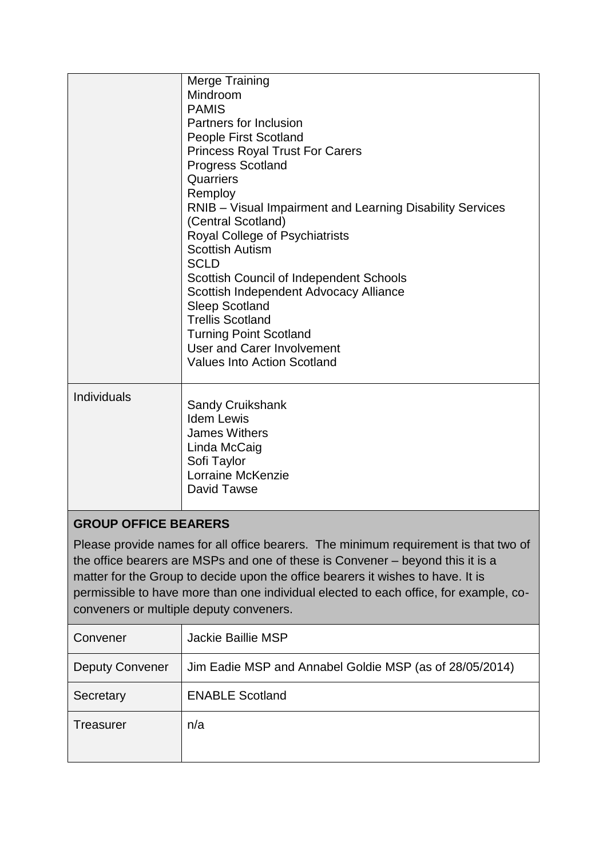|                                                                                                                                                                                                                                                                                                                                                                                              | <b>Merge Training</b><br>Mindroom<br><b>PAMIS</b><br>Partners for Inclusion<br><b>People First Scotland</b><br><b>Princess Royal Trust For Carers</b><br>Progress Scotland<br>Quarriers<br>Remploy<br>RNIB – Visual Impairment and Learning Disability Services<br>(Central Scotland)<br>Royal College of Psychiatrists<br><b>Scottish Autism</b><br><b>SCLD</b><br><b>Scottish Council of Independent Schools</b><br>Scottish Independent Advocacy Alliance<br><b>Sleep Scotland</b><br><b>Trellis Scotland</b><br><b>Turning Point Scotland</b><br><b>User and Carer Involvement</b><br><b>Values Into Action Scotland</b> |  |
|----------------------------------------------------------------------------------------------------------------------------------------------------------------------------------------------------------------------------------------------------------------------------------------------------------------------------------------------------------------------------------------------|------------------------------------------------------------------------------------------------------------------------------------------------------------------------------------------------------------------------------------------------------------------------------------------------------------------------------------------------------------------------------------------------------------------------------------------------------------------------------------------------------------------------------------------------------------------------------------------------------------------------------|--|
| Individuals                                                                                                                                                                                                                                                                                                                                                                                  | <b>Sandy Cruikshank</b><br><b>Idem Lewis</b><br><b>James Withers</b><br>Linda McCaig<br>Sofi Taylor<br><b>Lorraine McKenzie</b><br>David Tawse                                                                                                                                                                                                                                                                                                                                                                                                                                                                               |  |
| <b>GROUP OFFICE BEARERS</b>                                                                                                                                                                                                                                                                                                                                                                  |                                                                                                                                                                                                                                                                                                                                                                                                                                                                                                                                                                                                                              |  |
| Please provide names for all office bearers. The minimum requirement is that two of<br>the office bearers are MSPs and one of these is Convener – beyond this it is a<br>matter for the Group to decide upon the office bearers it wishes to have. It is<br>permissible to have more than one individual elected to each office, for example, co-<br>conveners or multiple deputy conveners. |                                                                                                                                                                                                                                                                                                                                                                                                                                                                                                                                                                                                                              |  |

| Convener               | Jackie Baillie MSP                                      |
|------------------------|---------------------------------------------------------|
| <b>Deputy Convener</b> | Jim Eadie MSP and Annabel Goldie MSP (as of 28/05/2014) |
| Secretary              | <b>ENABLE Scotland</b>                                  |
| Treasurer              | n/a                                                     |
|                        |                                                         |